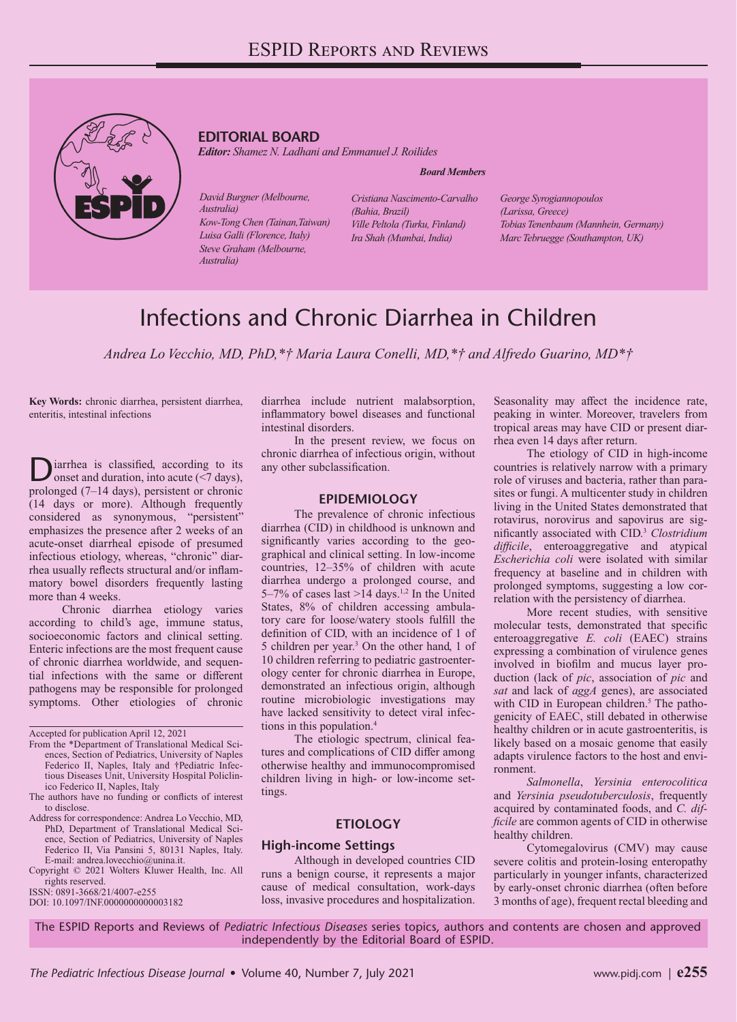

# **EDITORIAL BOARD**

*Editor: Shamez N. Ladhani and Emmanuel J. Roilides*

#### *Board Members*

*David Burgner (Melbourne, Australia) Kow-Tong Chen (Tainan,Taiwan) Luisa Galli (Florence, Italy) Steve Graham (Melbourne, Australia)*

*Cristiana Nascimento-Carvalho (Bahia, Brazil) Ville Peltola (Turku, Finland) Ira Shah (Mumbai, India)*

*George Syrogiannopoulos (Larissa, Greece) Tobias Tenenbaum (Mannhein, Germany) Marc Tebruegge (Southampton, UK)*

# Infections and Chronic Diarrhea in Children

*Andrea Lo Vecchio, MD, PhD,\*† Maria Laura Conelli, MD,\*† and Alfredo Guarino, MD\*†* 

**Key Words:** chronic diarrhea, persistent diarrhea, enteritis, intestinal infections

iarrhea is classified, according to its onset and duration, into acute (<7 days), prolonged (7–14 days), persistent or chronic (14 days or more). Although frequently considered as synonymous, "persistent" emphasizes the presence after 2 weeks of an acute-onset diarrheal episode of presumed infectious etiology, whereas, "chronic" diarrhea usually reflects structural and/or inflammatory bowel disorders frequently lasting more than 4 weeks.

Chronic diarrhea etiology varies according to child's age, immune status, socioeconomic factors and clinical setting. Enteric infections are the most frequent cause of chronic diarrhea worldwide, and sequential infections with the same or different pathogens may be responsible for prolonged symptoms. Other etiologies of chronic

Accepted for publication April 12, 2021

- From the \*Department of Translational Medical Sciences, Section of Pediatrics, University of Naples Federico II, Naples, Italy and †Pediatric Infectious Diseases Unit, University Hospital Policlinico Federico II, Naples, Italy
- The authors have no funding or conflicts of interest to disclose.
- Address for correspondence: Andrea Lo Vecchio, MD, PhD, Department of Translational Medical Science, Section of Pediatrics, University of Naples Federico II, Via Pansini 5, 80131 Naples, Italy.
- E-mail: [andrea.lovecchio@unina.it.](mailto:andrea.lovecchio@unina.it) Copyright © 2021 Wolters Kluwer Health, Inc. All rights reserved.
- ISSN: 0891-3668/21/4007-e255
- DOI: 10.1097/INF.0000000000003182

diarrhea include nutrient malabsorption, inflammatory bowel diseases and functional intestinal disorders.

In the present review, we focus on chronic diarrhea of infectious origin, without any other subclassification.

#### **EPIDEMIOLOGY**

The prevalence of chronic infectious diarrhea (CID) in childhood is unknown and significantly varies according to the geographical and clinical setting. In low-income countries, 12–35% of children with acute diarrhea undergo a prolonged course, and 5–7% of cases last >14 days.<sup>1,2</sup> In the United States, 8% of children accessing ambulatory care for loose/watery stools fulfill the definition of CID, with an incidence of 1 of 5 children per year.3 On the other hand, 1 of 10 children referring to pediatric gastroenterology center for chronic diarrhea in Europe, demonstrated an infectious origin, although routine microbiologic investigations may have lacked sensitivity to detect viral infections in this population.4

The etiologic spectrum, clinical features and complications of CID differ among otherwise healthy and immunocompromised children living in high- or low-income settings.

### **ETIOLOGY**

#### **High-income Settings**

Although in developed countries CID runs a benign course, it represents a major cause of medical consultation, work-days loss, invasive procedures and hospitalization. Seasonality may affect the incidence rate, peaking in winter. Moreover, travelers from tropical areas may have CID or present diarrhea even 14 days after return.

The etiology of CID in high-income countries is relatively narrow with a primary role of viruses and bacteria, rather than parasites or fungi. A multicenter study in children living in the United States demonstrated that rotavirus, norovirus and sapovirus are significantly associated with CID.3 *Clostridium difficile*, enteroaggregative and atypical *Escherichia coli* were isolated with similar frequency at baseline and in children with prolonged symptoms, suggesting a low correlation with the persistency of diarrhea.

More recent studies, with sensitive molecular tests, demonstrated that specific enteroaggregative *E. coli* (EAEC) strains expressing a combination of virulence genes involved in biofilm and mucus layer production (lack of *pic*, association of *pic* and *sat* and lack of *aggA* genes), are associated with CID in European children.<sup>5</sup> The pathogenicity of EAEC, still debated in otherwise healthy children or in acute gastroenteritis, is likely based on a mosaic genome that easily adapts virulence factors to the host and environment.

*Salmonella*, *Yersinia enterocolitica* and *Yersinia pseudotuberculosis*, frequently acquired by contaminated foods, and *C. difficile* are common agents of CID in otherwise healthy children.

Cytomegalovirus (CMV) may cause severe colitis and protein-losing enteropathy particularly in younger infants, characterized by early-onset chronic diarrhea (often before 3 months of age), frequent rectal bleeding and

The ESPID Reports and Reviews of *Pediatric Infectious Diseases* series topics, authors and contents are chosen and approved independently by the Editorial Board of ESPID.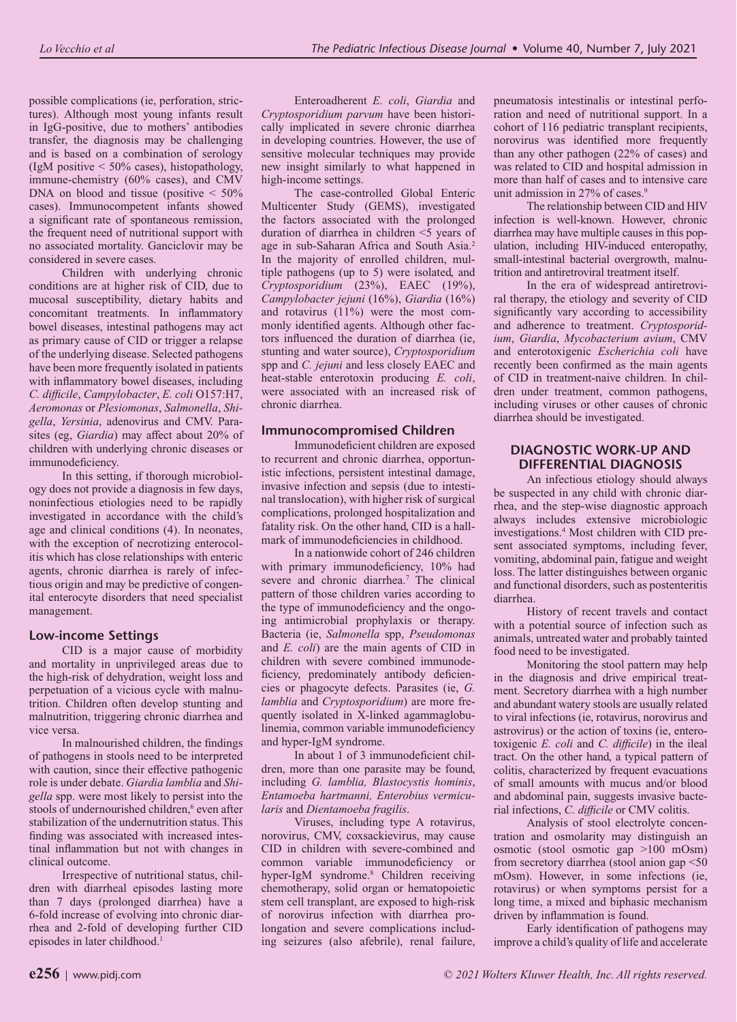possible complications (ie, perforation, strictures). Although most young infants result in IgG-positive, due to mothers' antibodies transfer, the diagnosis may be challenging and is based on a combination of serology (IgM positive  $\leq 50\%$  cases), histopathology, immune-chemistry (60% cases), and CMV DNA on blood and tissue (positive  $\leq 50\%$ cases). Immunocompetent infants showed a significant rate of spontaneous remission, the frequent need of nutritional support with no associated mortality. Ganciclovir may be considered in severe cases.

Children with underlying chronic conditions are at higher risk of CID, due to mucosal susceptibility, dietary habits and concomitant treatments. In inflammatory bowel diseases, intestinal pathogens may act as primary cause of CID or trigger a relapse of the underlying disease. Selected pathogens have been more frequently isolated in patients with inflammatory bowel diseases, including *C. difficile*, *Campylobacter*, *E. coli* O157:H7, *Aeromonas* or *Plesiomonas*, *Salmonella*, *Shigella*, *Yersinia*, adenovirus and CMV. Parasites (eg, *Giardia*) may affect about 20% of children with underlying chronic diseases or immunodeficiency.

In this setting, if thorough microbiology does not provide a diagnosis in few days, noninfectious etiologies need to be rapidly investigated in accordance with the child's age and clinical conditions (4). In neonates, with the exception of necrotizing enterocolitis which has close relationships with enteric agents, chronic diarrhea is rarely of infectious origin and may be predictive of congenital enterocyte disorders that need specialist management.

#### **Low-income Settings**

CID is a major cause of morbidity and mortality in unprivileged areas due to the high-risk of dehydration, weight loss and perpetuation of a vicious cycle with malnutrition. Children often develop stunting and malnutrition, triggering chronic diarrhea and vice versa.

In malnourished children, the findings of pathogens in stools need to be interpreted with caution, since their effective pathogenic role is under debate. *Giardia lamblia* and *Shigella* spp. were most likely to persist into the stools of undernourished children,<sup>6</sup> even after stabilization of the undernutrition status. This finding was associated with increased intestinal inflammation but not with changes in clinical outcome.

Irrespective of nutritional status, children with diarrheal episodes lasting more than 7 days (prolonged diarrhea) have a 6-fold increase of evolving into chronic diarrhea and 2-fold of developing further CID episodes in later childhood.<sup>1</sup>

Enteroadherent *E. coli*, *Giardia* and *Cryptosporidium parvum* have been historically implicated in severe chronic diarrhea in developing countries. However, the use of sensitive molecular techniques may provide new insight similarly to what happened in high-income settings.

The case-controlled Global Enteric Multicenter Study (GEMS), investigated the factors associated with the prolonged duration of diarrhea in children <5 years of age in sub-Saharan Africa and South Asia.2 In the majority of enrolled children, multiple pathogens (up to 5) were isolated, and *Cryptosporidium* (23%), EAEC (19%), *Campylobacter jejuni* (16%), *Giardia* (16%) and rotavirus (11%) were the most commonly identified agents. Although other factors influenced the duration of diarrhea (ie, stunting and water source), *Cryptosporidium* spp and *C. jejuni* and less closely EAEC and heat-stable enterotoxin producing *E. coli*, were associated with an increased risk of chronic diarrhea.

#### **Immunocompromised Children**

Immunodeficient children are exposed to recurrent and chronic diarrhea, opportunistic infections, persistent intestinal damage, invasive infection and sepsis (due to intestinal translocation), with higher risk of surgical complications, prolonged hospitalization and fatality risk. On the other hand, CID is a hallmark of immunodeficiencies in childhood.

In a nationwide cohort of 246 children with primary immunodeficiency, 10% had severe and chronic diarrhea.7 The clinical pattern of those children varies according to the type of immunodeficiency and the ongoing antimicrobial prophylaxis or therapy. Bacteria (ie, *Salmonella* spp, *Pseudomonas* and *E. coli*) are the main agents of CID in children with severe combined immunodeficiency, predominately antibody deficiencies or phagocyte defects. Parasites (ie, *G. lamblia* and *Cryptosporidium*) are more frequently isolated in X-linked agammaglobulinemia, common variable immunodeficiency and hyper-IgM syndrome.

In about 1 of 3 immunodeficient children, more than one parasite may be found, including *G. lamblia, Blastocystis hominis*, *Entamoeba hartmanni, Enterobius vermicularis* and *Dientamoeba fragilis*.

Viruses, including type A rotavirus, norovirus, CMV, coxsackievirus, may cause CID in children with severe-combined and common variable immunodeficiency or hyper-IgM syndrome.8 Children receiving chemotherapy, solid organ or hematopoietic stem cell transplant, are exposed to high-risk of norovirus infection with diarrhea prolongation and severe complications including seizures (also afebrile), renal failure,

pneumatosis intestinalis or intestinal perforation and need of nutritional support. In a cohort of 116 pediatric transplant recipients, norovirus was identified more frequently than any other pathogen (22% of cases) and was related to CID and hospital admission in more than half of cases and to intensive care unit admission in 27% of cases.<sup>9</sup>

The relationship between CID and HIV infection is well-known. However, chronic diarrhea may have multiple causes in this population, including HIV-induced enteropathy, small-intestinal bacterial overgrowth, malnutrition and antiretroviral treatment itself.

In the era of widespread antiretroviral therapy, the etiology and severity of CID significantly vary according to accessibility and adherence to treatment. *Cryptosporidium*, *Giardia*, *Mycobacterium avium*, CMV and enterotoxigenic *Escherichia coli* have recently been confirmed as the main agents of CID in treatment-naive children. In children under treatment, common pathogens, including viruses or other causes of chronic diarrhea should be investigated.

## **DIAGNOSTIC WORK-UP AND DIFFERENTIAL DIAGNOSIS**

An infectious etiology should always be suspected in any child with chronic diarrhea, and the step-wise diagnostic approach always includes extensive microbiologic investigations.4 Most children with CID present associated symptoms, including fever, vomiting, abdominal pain, fatigue and weight loss. The latter distinguishes between organic and functional disorders, such as postenteritis diarrhea.

History of recent travels and contact with a potential source of infection such as animals, untreated water and probably tainted food need to be investigated.

Monitoring the stool pattern may help in the diagnosis and drive empirical treatment. Secretory diarrhea with a high number and abundant watery stools are usually related to viral infections (ie, rotavirus, norovirus and astrovirus) or the action of toxins (ie, enterotoxigenic *E. coli* and *C. difficile*) in the ileal tract. On the other hand, a typical pattern of colitis, characterized by frequent evacuations of small amounts with mucus and/or blood and abdominal pain, suggests invasive bacterial infections, *C. difficile* or CMV colitis.

Analysis of stool electrolyte concentration and osmolarity may distinguish an osmotic (stool osmotic gap >100 mOsm) from secretory diarrhea (stool anion gap <50 mOsm). However, in some infections (ie, rotavirus) or when symptoms persist for a long time, a mixed and biphasic mechanism driven by inflammation is found.

Early identification of pathogens may improve a child's quality of life and accelerate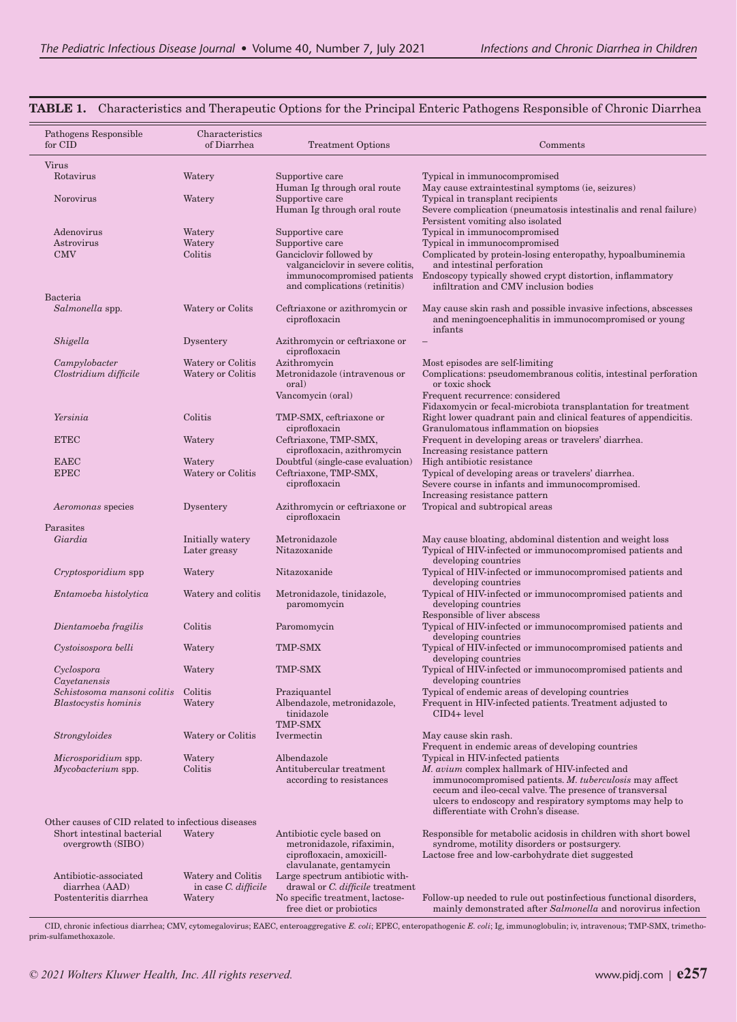| Pathogens Responsible<br>for CID                   | Characteristics<br>of Diarrhea         | <b>Treatment Options</b>                                   | Comments                                                                                                                          |
|----------------------------------------------------|----------------------------------------|------------------------------------------------------------|-----------------------------------------------------------------------------------------------------------------------------------|
| Virus                                              |                                        |                                                            |                                                                                                                                   |
| Rotavirus                                          | Watery                                 | Supportive care                                            | Typical in immunocompromised                                                                                                      |
|                                                    |                                        | Human Ig through oral route                                | May cause extraintestinal symptoms (ie, seizures)                                                                                 |
| Norovirus                                          | Watery                                 | Supportive care<br>Human Ig through oral route             | Typical in transplant recipients<br>Severe complication (pneumatosis intestinalis and renal failure)                              |
|                                                    |                                        |                                                            | Persistent vomiting also isolated                                                                                                 |
| Adenovirus                                         | Watery                                 | Supportive care                                            | Typical in immunocompromised                                                                                                      |
| Astrovirus<br><b>CMV</b>                           | Watery<br>Colitis                      | Supportive care<br>Ganciclovir followed by                 | Typical in immunocompromised<br>Complicated by protein-losing enteropathy, hypoalbuminemia                                        |
|                                                    |                                        | valganciclovir in severe colitis,                          | and intestinal perforation                                                                                                        |
|                                                    |                                        | immunocompromised patients                                 | Endoscopy typically showed crypt distortion, inflammatory                                                                         |
|                                                    |                                        | and complications (retinitis)                              | infiltration and CMV inclusion bodies                                                                                             |
| Bacteria<br>Salmonella spp.                        | Watery or Colits                       | Ceftriaxone or azithromycin or                             | May cause skin rash and possible invasive infections, abscesses                                                                   |
|                                                    |                                        | ciprofloxacin                                              | and meningoencephalitis in immunocompromised or young<br>infants                                                                  |
| Shigella                                           | Dysentery                              | Azithromycin or ceftriaxone or                             |                                                                                                                                   |
|                                                    |                                        | ciprofloxacin                                              |                                                                                                                                   |
| Campylobacter<br>Clostridium difficile             | Watery or Colitis<br>Watery or Colitis | Azithromycin<br>Metronidazole (intravenous or              | Most episodes are self-limiting<br>Complications: pseudomembranous colitis, intestinal perforation                                |
|                                                    |                                        | oral)                                                      | or toxic shock                                                                                                                    |
|                                                    |                                        | Vancomycin (oral)                                          | Frequent recurrence: considered                                                                                                   |
| Yersinia                                           | Colitis                                | TMP-SMX, ceftriaxone or                                    | Fidaxomycin or fecal-microbiota transplantation for treatment<br>Right lower quadrant pain and clinical features of appendicitis. |
|                                                    |                                        | ciprofloxacin                                              | Granulomatous inflammation on biopsies                                                                                            |
| <b>ETEC</b>                                        | Watery                                 | Ceftriaxone, TMP-SMX,                                      | Frequent in developing areas or travelers' diarrhea.                                                                              |
|                                                    |                                        | ciprofloxacin, azithromycin                                | Increasing resistance pattern                                                                                                     |
| <b>EAEC</b><br><b>EPEC</b>                         | Watery<br>Watery or Colitis            | Doubtful (single-case evaluation)<br>Ceftriaxone, TMP-SMX, | High antibiotic resistance<br>Typical of developing areas or travelers' diarrhea.                                                 |
|                                                    |                                        | ciprofloxacin                                              | Severe course in infants and immunocompromised.                                                                                   |
|                                                    |                                        |                                                            | Increasing resistance pattern                                                                                                     |
| Aeromonas species                                  | Dysentery                              | Azithromycin or ceftriaxone or                             | Tropical and subtropical areas                                                                                                    |
| Parasites                                          |                                        | ciprofloxacin                                              |                                                                                                                                   |
| Giardia                                            | Initially watery                       | Metronidazole                                              | May cause bloating, abdominal distention and weight loss                                                                          |
|                                                    | Later greasy                           | Nitazoxanide                                               | Typical of HIV-infected or immunocompromised patients and                                                                         |
| Cryptosporidium spp                                | Watery                                 | Nitazoxanide                                               | developing countries<br>Typical of HIV-infected or immunocompromised patients and                                                 |
|                                                    |                                        |                                                            | developing countries                                                                                                              |
| Entamoeba histolytica                              | Watery and colitis                     | Metronidazole, tinidazole,                                 | Typical of HIV-infected or immunocompromised patients and                                                                         |
|                                                    |                                        | paromomycin                                                | developing countries<br>Responsible of liver abscess                                                                              |
| Dientamoeba fragilis                               | Colitis                                | Paromomycin                                                | Typical of HIV-infected or immunocompromised patients and                                                                         |
|                                                    |                                        |                                                            | developing countries                                                                                                              |
| Cystoisospora belli                                | Watery                                 | TMP-SMX                                                    | Typical of HIV-infected or immunocompromised patients and                                                                         |
| Cyclospora                                         | Watery                                 | <b>TMP-SMX</b>                                             | developing countries<br>Typical of HIV-infected or immunocompromised patients and                                                 |
| Cayetanensis                                       |                                        |                                                            | developing countries                                                                                                              |
| Schistosoma mansoni colitis                        | Colitis                                | Praziquantel                                               | Typical of endemic areas of developing countries                                                                                  |
| <b>Blastocystis</b> hominis                        | Watery                                 | Albendazole, metronidazole,<br>tinidazole                  | Frequent in HIV-infected patients. Treatment adjusted to<br>CID4+ level                                                           |
|                                                    |                                        | TMP-SMX                                                    |                                                                                                                                   |
| Strongyloides                                      | Watery or Colitis                      | Ivermectin                                                 | May cause skin rash.                                                                                                              |
|                                                    |                                        |                                                            | Frequent in endemic areas of developing countries                                                                                 |
| <i>Microsporidium</i> spp.<br>Mycobacterium spp.   | Watery<br>Colitis                      | Albendazole<br>Antitubercular treatment                    | Typical in HIV-infected patients<br>M. avium complex hallmark of HIV-infected and                                                 |
|                                                    |                                        | according to resistances                                   | immunocompromised patients. M. tuberculosis may affect                                                                            |
|                                                    |                                        |                                                            | cecum and ileo-cecal valve. The presence of transversal                                                                           |
|                                                    |                                        |                                                            | ulcers to endoscopy and respiratory symptoms may help to<br>differentiate with Crohn's disease.                                   |
| Other causes of CID related to infectious diseases |                                        |                                                            |                                                                                                                                   |
| Short intestinal bacterial                         | Watery                                 | Antibiotic cycle based on                                  | Responsible for metabolic acidosis in children with short bowel                                                                   |
| overgrowth (SIBO)                                  |                                        | metronidazole, rifaximin,<br>ciprofloxacin, amoxicill-     | syndrome, motility disorders or postsurgery.<br>Lactose free and low-carbohydrate diet suggested                                  |
|                                                    |                                        | clavulanate, gentamycin                                    |                                                                                                                                   |
| Antibiotic-associated                              | Watery and Colitis                     | Large spectrum antibiotic with-                            |                                                                                                                                   |
| diarrhea (AAD)                                     | in case C. difficile                   | drawal or C. difficile treatment                           |                                                                                                                                   |
| Postenteritis diarrhea                             | Watery                                 | No specific treatment, lactose-<br>free diet or probiotics | Follow-up needed to rule out postinfectious functional disorders,<br>mainly demonstrated after Salmonella and norovirus infection |

### **TABLE 1.** Characteristics and Therapeutic Options for the Principal Enteric Pathogens Responsible of Chronic Diarrhea

CID, chronic infectious diarrhea; CMV, cytomegalovirus; EAEC, enteroaggregative *E. coli*; EPEC, enteropathogenic *E. coli*; Ig, immunoglobulin; iv, intravenous; TMP-SMX, trimethoprim-sulfamethoxazole.